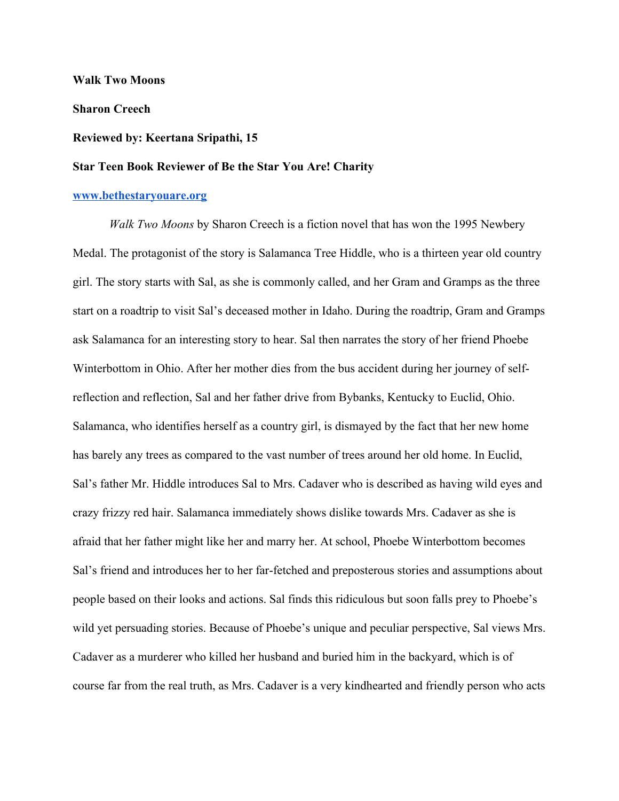**Walk Two Moons**

**Sharon Creech**

## **Reviewed by: Keertana Sripathi, 15**

## **Star Teen Book Reviewer of Be the Star You Are! Charity**

## **[www.bethestaryouare.org](http://www.bethestaryouare.org/)**

*Walk Two Moons* by Sharon Creech is a fiction novel that has won the 1995 Newbery Medal. The protagonist of the story is Salamanca Tree Hiddle, who is a thirteen year old country girl. The story starts with Sal, as she is commonly called, and her Gram and Gramps as the three start on a roadtrip to visit Sal's deceased mother in Idaho. During the roadtrip, Gram and Gramps ask Salamanca for an interesting story to hear. Sal then narrates the story of her friend Phoebe Winterbottom in Ohio. After her mother dies from the bus accident during her journey of selfreflection and reflection, Sal and her father drive from Bybanks, Kentucky to Euclid, Ohio. Salamanca, who identifies herself as a country girl, is dismayed by the fact that her new home has barely any trees as compared to the vast number of trees around her old home. In Euclid, Sal's father Mr. Hiddle introduces Sal to Mrs. Cadaver who is described as having wild eyes and crazy frizzy red hair. Salamanca immediately shows dislike towards Mrs. Cadaver as she is afraid that her father might like her and marry her. At school, Phoebe Winterbottom becomes Sal's friend and introduces her to her far-fetched and preposterous stories and assumptions about people based on their looks and actions. Sal finds this ridiculous but soon falls prey to Phoebe's wild yet persuading stories. Because of Phoebe's unique and peculiar perspective, Sal views Mrs. Cadaver as a murderer who killed her husband and buried him in the backyard, which is of course far from the real truth, as Mrs. Cadaver is a very kindhearted and friendly person who acts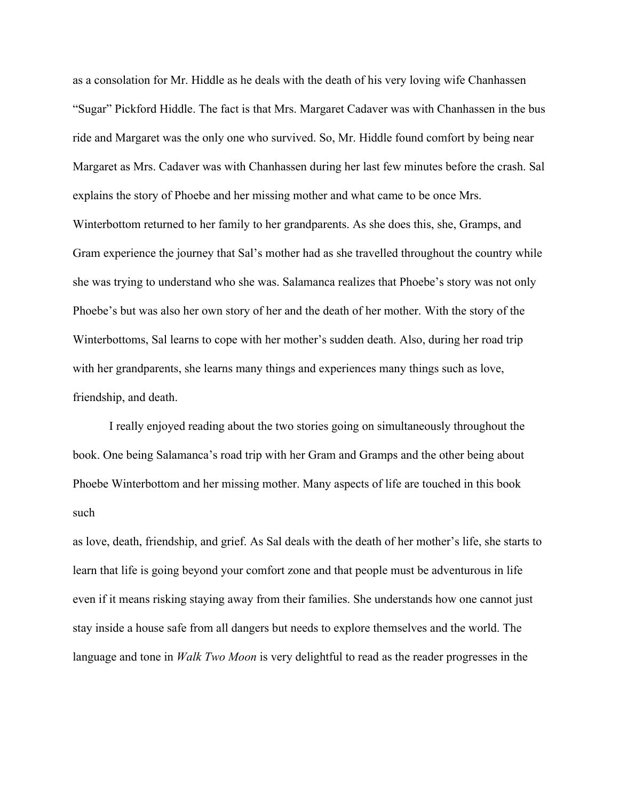as a consolation for Mr. Hiddle as he deals with the death of his very loving wife Chanhassen "Sugar" Pickford Hiddle. The fact is that Mrs. Margaret Cadaver was with Chanhassen in the bus ride and Margaret was the only one who survived. So, Mr. Hiddle found comfort by being near Margaret as Mrs. Cadaver was with Chanhassen during her last few minutes before the crash. Sal explains the story of Phoebe and her missing mother and what came to be once Mrs. Winterbottom returned to her family to her grandparents. As she does this, she, Gramps, and Gram experience the journey that Sal's mother had as she travelled throughout the country while she was trying to understand who she was. Salamanca realizes that Phoebe's story was not only Phoebe's but was also her own story of her and the death of her mother. With the story of the Winterbottoms, Sal learns to cope with her mother's sudden death. Also, during her road trip with her grandparents, she learns many things and experiences many things such as love, friendship, and death.

I really enjoyed reading about the two stories going on simultaneously throughout the book. One being Salamanca's road trip with her Gram and Gramps and the other being about Phoebe Winterbottom and her missing mother. Many aspects of life are touched in this book such

as love, death, friendship, and grief. As Sal deals with the death of her mother's life, she starts to learn that life is going beyond your comfort zone and that people must be adventurous in life even if it means risking staying away from their families. She understands how one cannot just stay inside a house safe from all dangers but needs to explore themselves and the world. The language and tone in *Walk Two Moon* is very delightful to read as the reader progresses in the